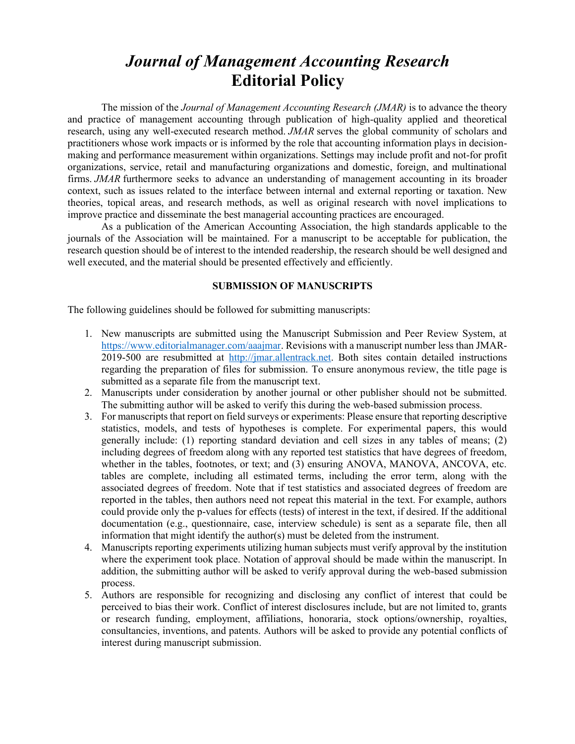# *Journal of Management Accounting Research* **Editorial Policy**

The mission of the *Journal of Management Accounting Research (JMAR)* is to advance the theory and practice of management accounting through publication of high-quality applied and theoretical research, using any well-executed research method. *JMAR* serves the global community of scholars and practitioners whose work impacts or is informed by the role that accounting information plays in decisionmaking and performance measurement within organizations. Settings may include profit and not-for profit organizations, service, retail and manufacturing organizations and domestic, foreign, and multinational firms. *JMAR* furthermore seeks to advance an understanding of management accounting in its broader context, such as issues related to the interface between internal and external reporting or taxation. New theories, topical areas, and research methods, as well as original research with novel implications to improve practice and disseminate the best managerial accounting practices are encouraged.

As a publication of the American Accounting Association, the high standards applicable to the journals of the Association will be maintained. For a manuscript to be acceptable for publication, the research question should be of interest to the intended readership, the research should be well designed and well executed, and the material should be presented effectively and efficiently.

## **SUBMISSION OF MANUSCRIPTS**

The following guidelines should be followed for submitting manuscripts:

- 1. New manuscripts are submitted using the Manuscript Submission and Peer Review System, at [https://www.editorialmanager.com/aaajmar.](https://www.editorialmanager.com/aaajmar) Revisions with a manuscript number less than JMAR-2019-500 are resubmitted at [http://jmar.allentrack.net.](http://jmar.allentrack.net/) Both sites contain detailed instructions regarding the preparation of files for submission. To ensure anonymous review, the title page is submitted as a separate file from the manuscript text.
- 2. Manuscripts under consideration by another journal or other publisher should not be submitted. The submitting author will be asked to verify this during the web-based submission process.
- 3. For manuscripts that report on field surveys or experiments: Please ensure that reporting descriptive statistics, models, and tests of hypotheses is complete. For experimental papers, this would generally include: (1) reporting standard deviation and cell sizes in any tables of means; (2) including degrees of freedom along with any reported test statistics that have degrees of freedom, whether in the tables, footnotes, or text; and (3) ensuring ANOVA, MANOVA, ANCOVA, etc. tables are complete, including all estimated terms, including the error term, along with the associated degrees of freedom. Note that if test statistics and associated degrees of freedom are reported in the tables, then authors need not repeat this material in the text. For example, authors could provide only the p-values for effects (tests) of interest in the text, if desired. If the additional documentation (e.g., questionnaire, case, interview schedule) is sent as a separate file, then all information that might identify the author(s) must be deleted from the instrument.
- 4. Manuscripts reporting experiments utilizing human subjects must verify approval by the institution where the experiment took place. Notation of approval should be made within the manuscript. In addition, the submitting author will be asked to verify approval during the web-based submission process.
- 5. Authors are responsible for recognizing and disclosing any conflict of interest that could be perceived to bias their work. Conflict of interest disclosures include, but are not limited to, grants or research funding, employment, affiliations, honoraria, stock options/ownership, royalties, consultancies, inventions, and patents. Authors will be asked to provide any potential conflicts of interest during manuscript submission.